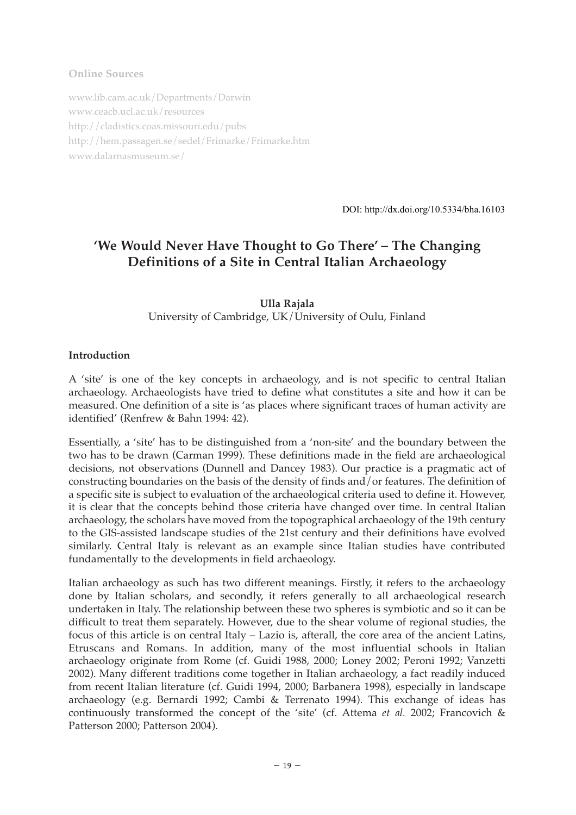#### **Online Sources**

www.lib.cam.ac.uk/Departments/Darwin www.ceacb.ucl.ac.uk/resources http://cladistics.coas.missouri.edu/pubs http://hem.passagen.se/sedel/Frimarke/Frimarke.htm www.dalarnasmuseum.se/

DOI: http://dx.doi.org/10.5334/bha.16103

# **'We Would Never Have Thought to Go There' – The Changing Definitions of a Site in Central Italian Archaeology**

**Ulla Rajala** University of Cambridge, UK/University of Oulu, Finland

#### **Introduction**

A 'site' is one of the key concepts in archaeology, and is not specific to central Italian archaeology. Archaeologists have tried to define what constitutes a site and how it can be measured. One definition of a site is 'as places where significant traces of human activity are identified' (Renfrew & Bahn 1994: 42).

Essentially, a 'site' has to be distinguished from a 'non-site' and the boundary between the two has to be drawn (Carman 1999). These definitions made in the field are archaeological decisions, not observations (Dunnell and Dancey 1983). Our practice is a pragmatic act of constructing boundaries on the basis of the density of finds and/or features. The definition of a specific site is subject to evaluation of the archaeological criteria used to define it. However, it is clear that the concepts behind those criteria have changed over time. In central Italian archaeology, the scholars have moved from the topographical archaeology of the 19th century to the GIS-assisted landscape studies of the 21st century and their definitions have evolved similarly. Central Italy is relevant as an example since Italian studies have contributed fundamentally to the developments in field archaeology.

Italian archaeology as such has two different meanings. Firstly, it refers to the archaeology done by Italian scholars, and secondly, it refers generally to all archaeological research undertaken in Italy. The relationship between these two spheres is symbiotic and so it can be difficult to treat them separately. However, due to the shear volume of regional studies, the focus of this article is on central Italy – Lazio is, afterall, the core area of the ancient Latins, Etruscans and Romans. In addition, many of the most influential schools in Italian archaeology originate from Rome (cf. Guidi 1988, 2000; Loney 2002; Peroni 1992; Vanzetti 2002). Many different traditions come together in Italian archaeology, a fact readily induced from recent Italian literature (cf. Guidi 1994, 2000; Barbanera 1998), especially in landscape archaeology (e.g. Bernardi 1992; Cambi & Terrenato 1994). This exchange of ideas has continuously transformed the concept of the 'site' (cf. Attema *et al.* 2002; Francovich & Patterson 2000; Patterson 2004).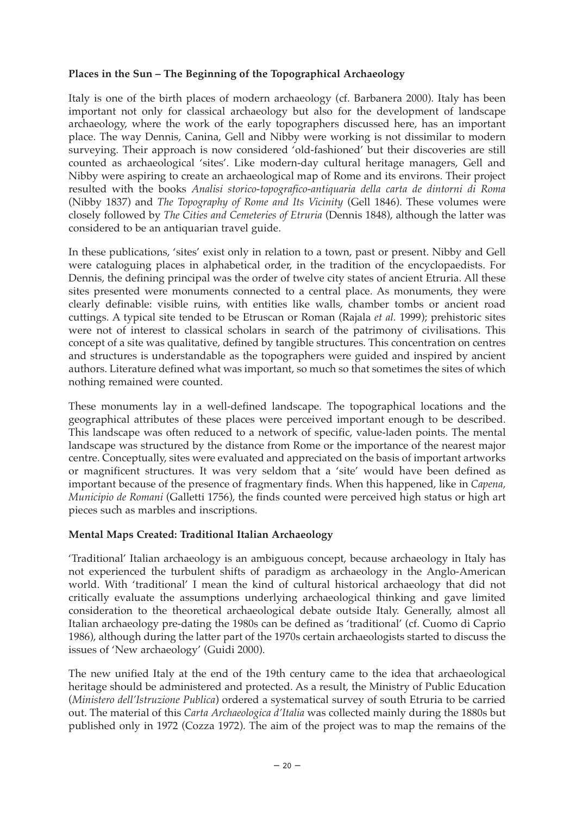#### **Places in the Sun – The Beginning of the Topographical Archaeology**

Italy is one of the birth places of modern archaeology (cf. Barbanera 2000). Italy has been important not only for classical archaeology but also for the development of landscape archaeology, where the work of the early topographers discussed here, has an important place. The way Dennis, Canina, Gell and Nibby were working is not dissimilar to modern surveying. Their approach is now considered 'old-fashioned' but their discoveries are still counted as archaeological 'sites'. Like modern-day cultural heritage managers, Gell and Nibby were aspiring to create an archaeological map of Rome and its environs. Their project resulted with the books *Analisi storico-topografico-antiquaria della carta de dintorni di Roma* (Nibby 1837) and *The Topography of Rome and Its Vicinity* (Gell 1846). These volumes were closely followed by *The Cities and Cemeteries of Etruria* (Dennis 1848), although the latter was considered to be an antiquarian travel guide.

In these publications, 'sites' exist only in relation to a town, past or present. Nibby and Gell were cataloguing places in alphabetical order, in the tradition of the encyclopaedists. For Dennis, the defining principal was the order of twelve city states of ancient Etruria. All these sites presented were monuments connected to a central place. As monuments, they were clearly definable: visible ruins, with entities like walls, chamber tombs or ancient road cuttings. A typical site tended to be Etruscan or Roman (Rajala *et al.* 1999); prehistoric sites were not of interest to classical scholars in search of the patrimony of civilisations. This concept of a site was qualitative, defined by tangible structures. This concentration on centres and structures is understandable as the topographers were guided and inspired by ancient authors. Literature defined what was important, so much so that sometimes the sites of which nothing remained were counted.

These monuments lay in a well-defined landscape. The topographical locations and the geographical attributes of these places were perceived important enough to be described. This landscape was often reduced to a network of specific, value-laden points. The mental landscape was structured by the distance from Rome or the importance of the nearest major centre. Conceptually, sites were evaluated and appreciated on the basis of important artworks or magnificent structures. It was very seldom that a 'site' would have been defined as important because of the presence of fragmentary finds. When this happened, like in *Capena, Municipio de Romani* (Galletti 1756), the finds counted were perceived high status or high art pieces such as marbles and inscriptions.

#### **Mental Maps Created: Traditional Italian Archaeology**

'Traditional' Italian archaeology is an ambiguous concept, because archaeology in Italy has not experienced the turbulent shifts of paradigm as archaeology in the Anglo-American world. With 'traditional' I mean the kind of cultural historical archaeology that did not critically evaluate the assumptions underlying archaeological thinking and gave limited consideration to the theoretical archaeological debate outside Italy. Generally, almost all Italian archaeology pre-dating the 1980s can be defined as 'traditional' (cf. Cuomo di Caprio 1986), although during the latter part of the 1970s certain archaeologists started to discuss the issues of 'New archaeology' (Guidi 2000).

The new unified Italy at the end of the 19th century came to the idea that archaeological heritage should be administered and protected. As a result, the Ministry of Public Education (*Ministero dell'Istruzione Publica*) ordered a systematical survey of south Etruria to be carried out. The material of this *Carta Archaeologica d'Italia* was collected mainly during the 1880s but published only in 1972 (Cozza 1972). The aim of the project was to map the remains of the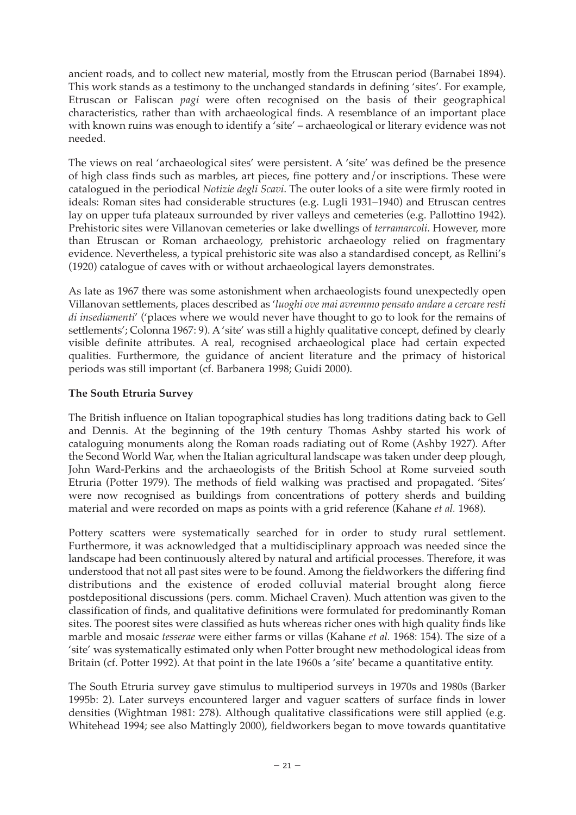ancient roads, and to collect new material, mostly from the Etruscan period (Barnabei 1894). This work stands as a testimony to the unchanged standards in defining 'sites'. For example, Etruscan or Faliscan *pagi* were often recognised on the basis of their geographical characteristics, rather than with archaeological finds. A resemblance of an important place with known ruins was enough to identify a 'site' – archaeological or literary evidence was not needed.

The views on real 'archaeological sites' were persistent. A 'site' was defined be the presence of high class finds such as marbles, art pieces, fine pottery and/or inscriptions. These were catalogued in the periodical *Notizie degli Scavi*. The outer looks of a site were firmly rooted in ideals: Roman sites had considerable structures (e.g. Lugli 1931–1940) and Etruscan centres lay on upper tufa plateaux surrounded by river valleys and cemeteries (e.g. Pallottino 1942). Prehistoric sites were Villanovan cemeteries or lake dwellings of *terramarcoli*. However, more than Etruscan or Roman archaeology, prehistoric archaeology relied on fragmentary evidence. Nevertheless, a typical prehistoric site was also a standardised concept, as Rellini's (1920) catalogue of caves with or without archaeological layers demonstrates.

As late as 1967 there was some astonishment when archaeologists found unexpectedly open Villanovan settlements, places described as '*luoghi ove mai avremmo pensato andare a cercare resti di insediamenti*' ('places where we would never have thought to go to look for the remains of settlements'; Colonna 1967: 9). A 'site' was still a highly qualitative concept, defined by clearly visible definite attributes. A real, recognised archaeological place had certain expected qualities. Furthermore, the guidance of ancient literature and the primacy of historical periods was still important (cf. Barbanera 1998; Guidi 2000).

## **The South Etruria Survey**

The British influence on Italian topographical studies has long traditions dating back to Gell and Dennis. At the beginning of the 19th century Thomas Ashby started his work of cataloguing monuments along the Roman roads radiating out of Rome (Ashby 1927). After the Second World War, when the Italian agricultural landscape was taken under deep plough, John Ward-Perkins and the archaeologists of the British School at Rome surveied south Etruria (Potter 1979). The methods of field walking was practised and propagated. 'Sites' were now recognised as buildings from concentrations of pottery sherds and building material and were recorded on maps as points with a grid reference (Kahane *et al.* 1968).

Pottery scatters were systematically searched for in order to study rural settlement. Furthermore, it was acknowledged that a multidisciplinary approach was needed since the landscape had been continuously altered by natural and artificial processes. Therefore, it was understood that not all past sites were to be found. Among the fieldworkers the differing find distributions and the existence of eroded colluvial material brought along fierce postdepositional discussions (pers. comm. Michael Craven). Much attention was given to the classification of finds, and qualitative definitions were formulated for predominantly Roman sites. The poorest sites were classified as huts whereas richer ones with high quality finds like marble and mosaic *tesserae* were either farms or villas (Kahane *et al.* 1968: 154). The size of a 'site' was systematically estimated only when Potter brought new methodological ideas from Britain (cf. Potter 1992). At that point in the late 1960s a 'site' became a quantitative entity.

The South Etruria survey gave stimulus to multiperiod surveys in 1970s and 1980s (Barker 1995b: 2). Later surveys encountered larger and vaguer scatters of surface finds in lower densities (Wightman 1981: 278). Although qualitative classifications were still applied (e.g. Whitehead 1994; see also Mattingly 2000), fieldworkers began to move towards quantitative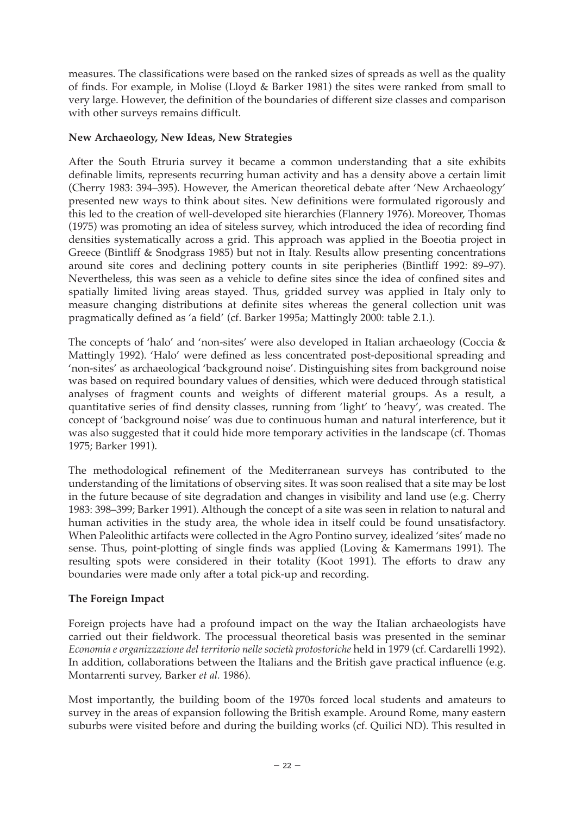measures. The classifications were based on the ranked sizes of spreads as well as the quality of finds. For example, in Molise (Lloyd & Barker 1981) the sites were ranked from small to very large. However, the definition of the boundaries of different size classes and comparison with other surveys remains difficult.

#### **New Archaeology, New Ideas, New Strategies**

After the South Etruria survey it became a common understanding that a site exhibits definable limits, represents recurring human activity and has a density above a certain limit (Cherry 1983: 394–395). However, the American theoretical debate after 'New Archaeology' presented new ways to think about sites. New definitions were formulated rigorously and this led to the creation of well-developed site hierarchies (Flannery 1976). Moreover, Thomas (1975) was promoting an idea of siteless survey, which introduced the idea of recording find densities systematically across a grid. This approach was applied in the Boeotia project in Greece (Bintliff & Snodgrass 1985) but not in Italy. Results allow presenting concentrations around site cores and declining pottery counts in site peripheries (Bintliff 1992: 89–97). Nevertheless, this was seen as a vehicle to define sites since the idea of confined sites and spatially limited living areas stayed. Thus, gridded survey was applied in Italy only to measure changing distributions at definite sites whereas the general collection unit was pragmatically defined as 'a field' (cf. Barker 1995a; Mattingly 2000: table 2.1.).

The concepts of 'halo' and 'non-sites' were also developed in Italian archaeology (Coccia & Mattingly 1992). 'Halo' were defined as less concentrated post-depositional spreading and 'non-sites' as archaeological 'background noise'. Distinguishing sites from background noise was based on required boundary values of densities, which were deduced through statistical analyses of fragment counts and weights of different material groups. As a result, a quantitative series of find density classes, running from 'light' to 'heavy', was created. The concept of 'background noise' was due to continuous human and natural interference, but it was also suggested that it could hide more temporary activities in the landscape (cf. Thomas 1975; Barker 1991).

The methodological refinement of the Mediterranean surveys has contributed to the understanding of the limitations of observing sites. It was soon realised that a site may be lost in the future because of site degradation and changes in visibility and land use (e.g. Cherry 1983: 398–399; Barker 1991). Although the concept of a site was seen in relation to natural and human activities in the study area, the whole idea in itself could be found unsatisfactory. When Paleolithic artifacts were collected in the Agro Pontino survey, idealized 'sites' made no sense. Thus, point-plotting of single finds was applied (Loving & Kamermans 1991). The resulting spots were considered in their totality (Koot 1991). The efforts to draw any boundaries were made only after a total pick-up and recording.

## **The Foreign Impact**

Foreign projects have had a profound impact on the way the Italian archaeologists have carried out their fieldwork. The processual theoretical basis was presented in the seminar *Economia e organizzazione del territorio nelle società protostoriche* held in 1979 (cf. Cardarelli 1992). In addition, collaborations between the Italians and the British gave practical influence (e.g. Montarrenti survey, Barker *et al.* 1986).

Most importantly, the building boom of the 1970s forced local students and amateurs to survey in the areas of expansion following the British example. Around Rome, many eastern suburbs were visited before and during the building works (cf. Quilici ND). This resulted in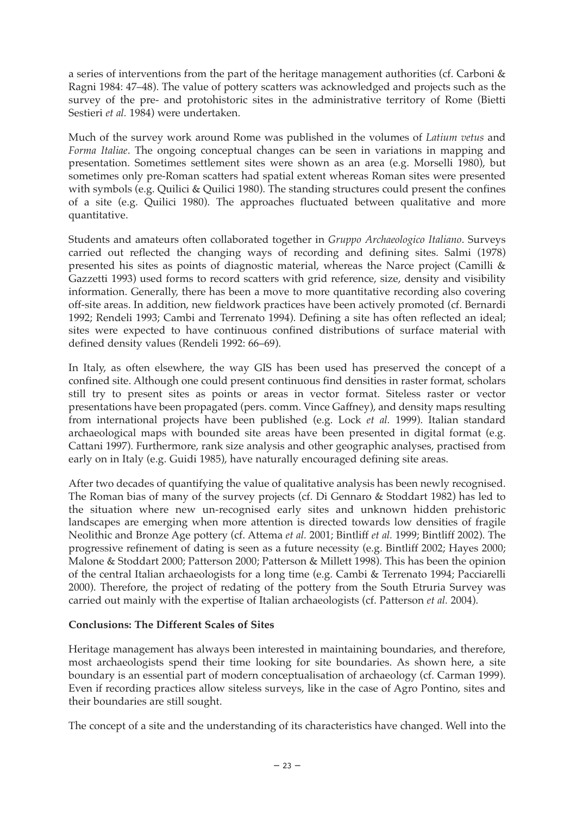a series of interventions from the part of the heritage management authorities (cf. Carboni & Ragni 1984: 47–48). The value of pottery scatters was acknowledged and projects such as the survey of the pre- and protohistoric sites in the administrative territory of Rome (Bietti Sestieri *et al.* 1984) were undertaken.

Much of the survey work around Rome was published in the volumes of *Latium vetus* and *Forma Italiae*. The ongoing conceptual changes can be seen in variations in mapping and presentation. Sometimes settlement sites were shown as an area (e.g. Morselli 1980), but sometimes only pre-Roman scatters had spatial extent whereas Roman sites were presented with symbols (e.g. Quilici & Quilici 1980). The standing structures could present the confines of a site (e.g. Quilici 1980). The approaches fluctuated between qualitative and more quantitative.

Students and amateurs often collaborated together in *Gruppo Archaeologico Italiano*. Surveys carried out reflected the changing ways of recording and defining sites. Salmi (1978) presented his sites as points of diagnostic material, whereas the Narce project (Camilli & Gazzetti 1993) used forms to record scatters with grid reference, size, density and visibility information. Generally, there has been a move to more quantitative recording also covering off-site areas. In addition, new fieldwork practices have been actively promoted (cf. Bernardi 1992; Rendeli 1993; Cambi and Terrenato 1994). Defining a site has often reflected an ideal; sites were expected to have continuous confined distributions of surface material with defined density values (Rendeli 1992: 66–69).

In Italy, as often elsewhere, the way GIS has been used has preserved the concept of a confined site. Although one could present continuous find densities in raster format, scholars still try to present sites as points or areas in vector format. Siteless raster or vector presentations have been propagated (pers. comm. Vince Gaffney), and density maps resulting from international projects have been published (e.g. Lock *et al.* 1999). Italian standard archaeological maps with bounded site areas have been presented in digital format (e.g. Cattani 1997). Furthermore, rank size analysis and other geographic analyses, practised from early on in Italy (e.g. Guidi 1985), have naturally encouraged defining site areas.

After two decades of quantifying the value of qualitative analysis has been newly recognised. The Roman bias of many of the survey projects (cf. Di Gennaro & Stoddart 1982) has led to the situation where new un-recognised early sites and unknown hidden prehistoric landscapes are emerging when more attention is directed towards low densities of fragile Neolithic and Bronze Age pottery (cf. Attema *et al.* 2001; Bintliff *et al.* 1999; Bintliff 2002). The progressive refinement of dating is seen as a future necessity (e.g. Bintliff 2002; Hayes 2000; Malone & Stoddart 2000; Patterson 2000; Patterson & Millett 1998). This has been the opinion of the central Italian archaeologists for a long time (e.g. Cambi & Terrenato 1994; Pacciarelli 2000). Therefore, the project of redating of the pottery from the South Etruria Survey was carried out mainly with the expertise of Italian archaeologists (cf. Patterson *et al.* 2004).

#### **Conclusions: The Different Scales of Sites**

Heritage management has always been interested in maintaining boundaries, and therefore, most archaeologists spend their time looking for site boundaries. As shown here, a site boundary is an essential part of modern conceptualisation of archaeology (cf. Carman 1999). Even if recording practices allow siteless surveys, like in the case of Agro Pontino, sites and their boundaries are still sought.

The concept of a site and the understanding of its characteristics have changed. Well into the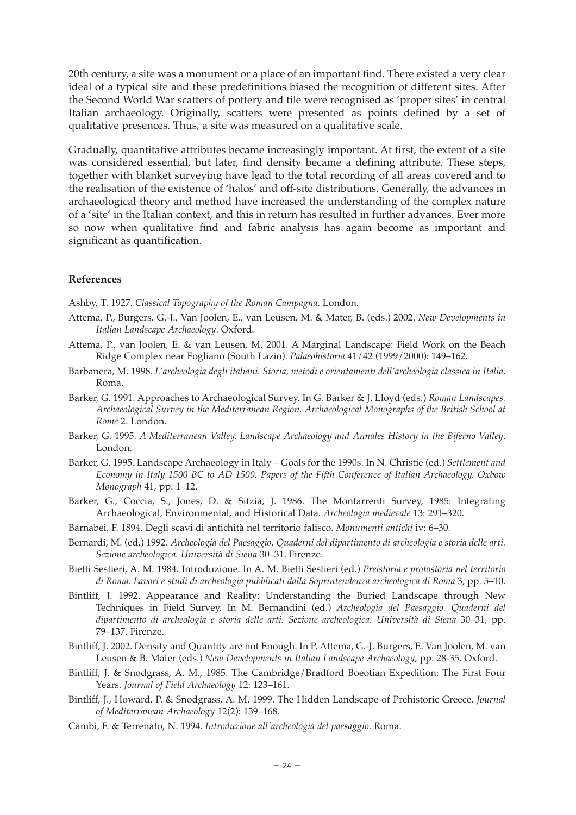20th century, a site was a monument or a place of an important find. There existed a very clear ideal of a typical site and these predefinitions biased the recognition of different sites. After the Second World War scatters of pottery and tile were recognised as 'proper sites' in central Italian archaeology. Originally, scatters were presented as points defined by a set of qualitative presences. Thus, a site was measured on a qualitative scale.

Gradually, quantitative attributes became increasingly important. At first, the extent of a site was considered essential, but later, find density became a defining attribute. These steps, together with blanket surveying have lead to the total recording of all areas covered and to the realisation of the existence of 'halos' and off-site distributions. Generally, the advances in archaeological theory and method have increased the understanding of the complex nature of a 'site' in the Italian context, and this in return has resulted in further advances. Ever more so now when qualitative find and fabric analysis has again become as important and significant as quantification.

#### **References**

Ashby, T. 1927. *Classical Topography of the Roman Campagna*. London.

- Attema, P., Burgers, G.-J., Van Joolen, E., van Leusen, M. & Mater, B. (eds.) 2002. *New Developments in Italian Landscape Archaeology*. Oxford.
- Attema, P., van Joolen, E. & van Leusen, M. 2001. A Marginal Landscape: Field Work on the Beach Ridge Complex near Fogliano (South Lazio). *Palaeohistoria* 41/42 (1999/2000): 149–162.
- Barbanera, M. 1998. *L'archeologia degli italiani. Storia, metodi e orientamenti dell'archeologia classica in Italia*. Roma.
- Barker, G. 1991. Approaches to Archaeological Survey. In G. Barker & J. Lloyd (eds.) *Roman Landscapes. Archaeological Survey in the Mediterranean Region. Archaeological Monographs of the British School at Rome* 2. London.
- Barker, G. 1995. *A Mediterranean Valley. Landscape Archaeology and Annales History in the Biferno Valley*. London.
- Barker, G. 1995. Landscape Archaeology in Italy Goals for the 1990s. In N. Christie (ed.) *Settlement and Economy in Italy 1500 BC to AD 1500. Papers of the Fifth Conference of Italian Archaeology. Oxbow Monograph* 41, pp. 1–12.
- Barker, G., Coccia, S., Jones, D. & Sitzia, J. 1986. The Montarrenti Survey, 1985: Integrating Archaeological, Environmental, and Historical Data. *Archeologia medievale* 13: 291–320.
- Barnabei, F. 1894. Degli scavi di antichità nel territorio falisco. *Monumenti antichi* iv: 6–30.
- Bernardi, M. (ed.) 1992. *Archeologia del Paesaggio. Quaderni del dipartimento di archeologia e storia delle arti. Sezione archeologica. Università di Siena* 30–31. Firenze.
- Bietti Sestieri, A. M. 1984. Introduzione. In A. M. Bietti Sestieri (ed.) *Preistoria e protostoria nel territorio di Roma. Lavori e studi di archeologia pubblicati dalla Soprintendenza archeologica di Roma* 3, pp. 5–10.
- Bintliff, J. 1992. Appearance and Reality: Understanding the Buried Landscape through New Techniques in Field Survey. In M. Bernandini (ed.) *Archeologia del Paesaggio. Quaderni del dipartimento di archeologia e storia delle arti. Sezione archeologica. Università di Siena* 30–31, pp. 79–137. Firenze.
- Bintliff, J. 2002. Density and Quantity are not Enough. In P. Attema, G.-J. Burgers, E. Van Joolen, M. van Leusen & B. Mater (eds.) *New Developments in Italian Landscape Archaeology*, pp. 28-35. Oxford.
- Bintliff, J. & Snodgrass, A. M., 1985. The Cambridge/Bradford Boeotian Expedition: The First Four Years. *Journal of Field Archaeology* 12: 123–161.
- Bintliff, J., Howard, P. & Snodgrass, A. M. 1999. The Hidden Landscape of Prehistoric Greece. *Journal of Mediterranean Archaeology* 12(2): 139–168.
- Cambi, F. & Terrenato, N. 1994. *Introduzione all'archeologia del paesaggio*. Roma.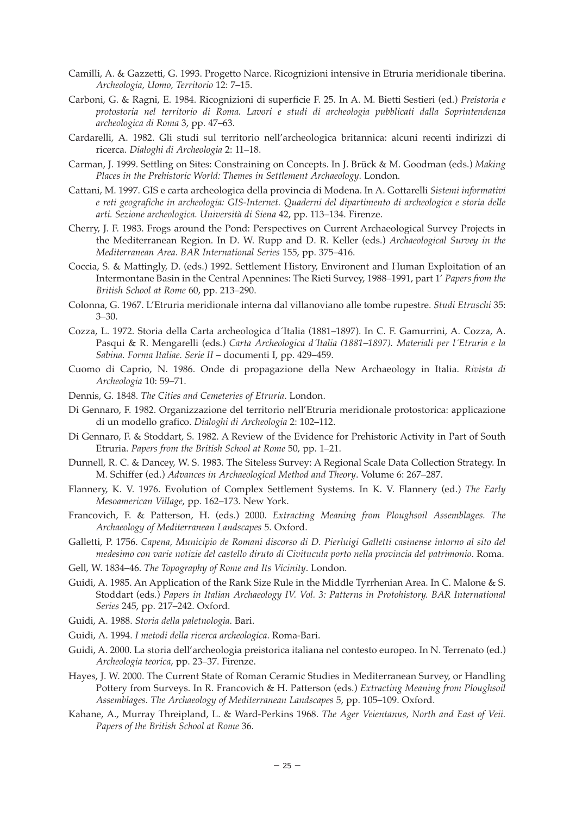- Camilli, A. & Gazzetti, G. 1993. Progetto Narce. Ricognizioni intensive in Etruria meridionale tiberina. *Archeologia, Uomo, Territorio* 12: 7–15.
- Carboni, G. & Ragni, E. 1984. Ricognizioni di superficie F. 25. In A. M. Bietti Sestieri (ed.) *Preistoria e protostoria nel territorio di Roma. Lavori e studi di archeologia pubblicati dalla Soprintendenza archeologica di Roma* 3, pp. 47–63.
- Cardarelli, A. 1982. Gli studi sul territorio nell'archeologica britannica: alcuni recenti indirizzi di ricerca. *Dialoghi di Archeologia* 2: 11–18.
- Carman, J. 1999. Settling on Sites: Constraining on Concepts. In J. Brück & M. Goodman (eds.) *Making Places in the Prehistoric World: Themes in Settlement Archaeology*. London.
- Cattani, M. 1997. GIS e carta archeologica della provincia di Modena. In A. Gottarelli *Sistemi informativi e reti geografiche in archeologia: GIS-Internet. Quaderni del dipartimento di archeologica e storia delle arti. Sezione archeologica. Università di Siena* 42, pp. 113–134. Firenze.
- Cherry, J. F. 1983. Frogs around the Pond: Perspectives on Current Archaeological Survey Projects in the Mediterranean Region. In D. W. Rupp and D. R. Keller (eds.) *Archaeological Survey in the Mediterranean Area. BAR International Series* 155, pp. 375–416.
- Coccia, S. & Mattingly, D. (eds.) 1992. Settlement History, Environent and Human Exploitation of an Intermontane Basin in the Central Apennines: The Rieti Survey, 1988–1991, part 1' *Papers from the British School at Rome* 60, pp. 213–290.
- Colonna, G. 1967. L'Etruria meridionale interna dal villanoviano alle tombe rupestre. *Studi Etruschi* 35: 3–30.
- Cozza, L. 1972. Storia della Carta archeologica d´Italia (1881–1897). In C. F. Gamurrini, A. Cozza, A. Pasqui & R. Mengarelli (eds.) *Carta Archeologica d´Italia (1881–1897). Materiali per l´Etruria e la Sabina. Forma Italiae. Serie II* – documenti I, pp. 429–459.
- Cuomo di Caprio, N. 1986. Onde di propagazione della New Archaeology in Italia. *Rivista di Archeologia* 10: 59–71.
- Dennis, G. 1848. *The Cities and Cemeteries of Etruria*. London.
- Di Gennaro, F. 1982. Organizzazione del territorio nell'Etruria meridionale protostorica: applicazione di un modello grafico. *Dialoghi di Archeologia* 2: 102–112.
- Di Gennaro, F. & Stoddart, S. 1982. A Review of the Evidence for Prehistoric Activity in Part of South Etruria. *Papers from the British School at Rome* 50, pp. 1–21.
- Dunnell, R. C. & Dancey, W. S. 1983. The Siteless Survey: A Regional Scale Data Collection Strategy. In M. Schiffer (ed.) *Advances in Archaeological Method and Theory*. Volume 6: 267–287.
- Flannery, K. V. 1976. Evolution of Complex Settlement Systems. In K. V. Flannery (ed.) *The Early Mesoamerican Village*, pp. 162–173. New York.
- Francovich, F. & Patterson, H. (eds.) 2000. *Extracting Meaning from Ploughsoil Assemblages. The Archaeology of Mediterranean Landscapes* 5. Oxford.
- Galletti, P. 1756. *Capena, Municipio de Romani discorso di D. Pierluigi Galletti casinense intorno al sito del medesimo con varie notizie del castello diruto di Civitucula porto nella provincia del patrimonio*. Roma.
- Gell, W. 1834–46. *The Topography of Rome and Its Vicinity*. London.
- Guidi, A. 1985. An Application of the Rank Size Rule in the Middle Tyrrhenian Area. In C. Malone & S. Stoddart (eds.) *Papers in Italian Archaeology IV. Vol. 3: Patterns in Protohistory. BAR International Series* 245, pp. 217–242. Oxford.
- Guidi, A. 1988. *Storia della paletnologia*. Bari.
- Guidi, A. 1994. *I metodi della ricerca archeologica*. Roma-Bari.
- Guidi, A. 2000. La storia dell'archeologia preistorica italiana nel contesto europeo. In N. Terrenato (ed.) *Archeologia teorica*, pp. 23–37. Firenze.
- Hayes, J. W. 2000. The Current State of Roman Ceramic Studies in Mediterranean Survey, or Handling Pottery from Surveys. In R. Francovich & H. Patterson (eds.) *Extracting Meaning from Ploughsoil Assemblages. The Archaeology of Mediterranean Landscapes* 5, pp. 105–109. Oxford.
- Kahane, A., Murray Threipland, L. & Ward-Perkins 1968. *The Ager Veientanus, North and East of Veii. Papers of the British School at Rome* 36.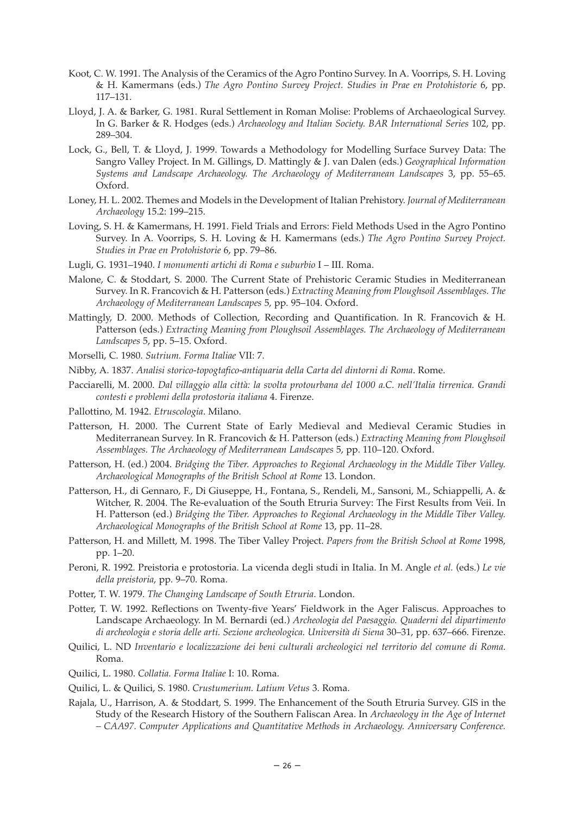- Koot, C. W. 1991. The Analysis of the Ceramics of the Agro Pontino Survey. In A. Voorrips, S. H. Loving & H. Kamermans (eds.) *The Agro Pontino Survey Project. Studies in Prae en Protohistorie* 6, pp. 117–131.
- Lloyd, J. A. & Barker, G. 1981. Rural Settlement in Roman Molise: Problems of Archaeological Survey. In G. Barker & R. Hodges (eds.) *Archaeology and Italian Society. BAR International Series* 102, pp. 289–304.
- Lock, G., Bell, T. & Lloyd, J. 1999. Towards a Methodology for Modelling Surface Survey Data: The Sangro Valley Project. In M. Gillings, D. Mattingly & J. van Dalen (eds.) *Geographical Information Systems and Landscape Archaeology. The Archaeology of Mediterranean Landscapes* 3, pp. 55–65. Oxford.
- Loney, H. L. 2002. Themes and Models in the Development of Italian Prehistory. *Journal of Mediterranean Archaeology* 15.2: 199–215.
- Loving, S. H. & Kamermans, H. 1991. Field Trials and Errors: Field Methods Used in the Agro Pontino Survey. In A. Voorrips, S. H. Loving & H. Kamermans (eds.) *The Agro Pontino Survey Project. Studies in Prae en Protohistorie* 6, pp. 79–86.
- Lugli, G. 1931–1940. *I monumenti artichi di Roma e suburbio* I III. Roma.
- Malone, C. & Stoddart, S. 2000. The Current State of Prehistoric Ceramic Studies in Mediterranean Survey. In R. Francovich & H. Patterson (eds.) *Extracting Meaning from Ploughsoil Assemblages. The Archaeology of Mediterranean Landscapes* 5, pp. 95–104. Oxford.
- Mattingly, D. 2000. Methods of Collection, Recording and Quantification. In R. Francovich & H. Patterson (eds.) *Extracting Meaning from Ploughsoil Assemblages. The Archaeology of Mediterranean Landscapes* 5, pp. 5–15. Oxford.
- Morselli, C. 1980. *Sutrium. Forma Italiae* VII: 7.
- Nibby, A. 1837. *Analisi storico-topogtafico-antiquaria della Carta del dintorni di Roma*. Rome.
- Pacciarelli, M. 2000. *Dal villaggio alla città: la svolta protourbana del 1000 a.C. nell'Italia tirrenica. Grandi contesti e problemi della protostoria italiana* 4. Firenze.
- Pallottino, M. 1942. *Etruscologia*. Milano.
- Patterson, H. 2000. The Current State of Early Medieval and Medieval Ceramic Studies in Mediterranean Survey. In R. Francovich & H. Patterson (eds.) *Extracting Meaning from Ploughsoil Assemblages. The Archaeology of Mediterranean Landscapes* 5, pp. 110–120. Oxford.
- Patterson, H. (ed.) 2004. *Bridging the Tiber. Approaches to Regional Archaeology in the Middle Tiber Valley. Archaeological Monographs of the British School at Rome* 13. London.
- Patterson, H., di Gennaro, F., Di Giuseppe, H., Fontana, S., Rendeli, M., Sansoni, M., Schiappelli, A. & Witcher, R. 2004. The Re-evaluation of the South Etruria Survey: The First Results from Veii. In H. Patterson (ed.) *Bridging the Tiber. Approaches to Regional Archaeology in the Middle Tiber Valley. Archaeological Monographs of the British School at Rome* 13, pp. 11–28.
- Patterson, H. and Millett, M. 1998. The Tiber Valley Project. *Papers from the British School at Rome* 1998, pp. 1–20.
- Peroni, R. 1992. Preistoria e protostoria. La vicenda degli studi in Italia. In M. Angle *et al.* (eds.) *Le vie della preistoria*, pp. 9–70. Roma.
- Potter, T. W. 1979. *The Changing Landscape of South Etruria*. London.
- Potter, T. W. 1992. Reflections on Twenty-five Years' Fieldwork in the Ager Faliscus. Approaches to Landscape Archaeology. In M. Bernardi (ed.) *Archeologia del Paesaggio. Quaderni del dipartimento di archeologia e storia delle arti. Sezione archeologica. Università di Siena* 30–31, pp. 637–666. Firenze.
- Quilici, L. ND *Inventario e localizzazione dei beni culturali archeologici nel territorio del comune di Roma*. Roma.
- Quilici, L. 1980. *Collatia. Forma Italiae* I: 10. Roma.
- Quilici, L. & Quilici, S. 1980. *Crustumerium. Latium Vetus* 3. Roma.
- Rajala, U., Harrison, A. & Stoddart, S. 1999. The Enhancement of the South Etruria Survey. GIS in the Study of the Research History of the Southern Faliscan Area. In *Archaeology in the Age of Internet – CAA97. Computer Applications and Quantitative Methods in Archaeology. Anniversary Conference.*